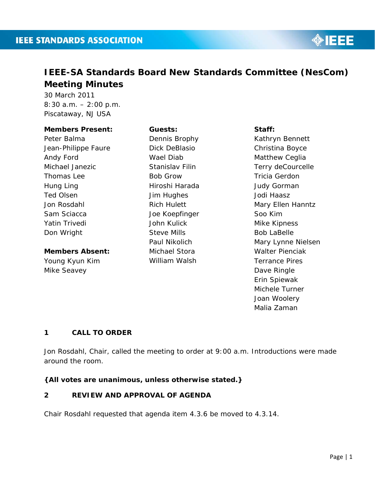

# **IEEE-SA Standards Board New Standards Committee (NesCom) Meeting Minutes**

30 March 2011 8:30 a.m. – 2:00 p.m. Piscataway, NJ USA

#### **Members Present:**

Peter Balma Jean-Philippe Faure Andy Ford Michael Janezic Thomas Lee Hung Ling Ted Olsen Jon Rosdahl Sam Sciacca Yatin Trivedi Don Wright

# **Members Absent:**

Young Kyun Kim Mike Seavey

## **Guests:**

Dennis Brophy Dick DeBlasio Wael Diab Stanislav Filin Bob Grow Hiroshi Harada Jim Hughes Rich Hulett Joe Koepfinger John Kulick Steve Mills Paul Nikolich Michael Stora William Walsh

#### **Staff:**

Kathryn Bennett Christina Boyce Matthew Ceglia Terry deCourcelle Tricia Gerdon Judy Gorman Jodi Haasz Mary Ellen Hanntz Soo Kim Mike Kipness Bob LaBelle Mary Lynne Nielsen Walter Pienciak Terrance Pires Dave Ringle Erin Spiewak Michele Turner Joan Woolery Malia Zaman

# **1 CALL TO ORDER**

Jon Rosdahl, Chair, called the meeting to order at 9:00 a.m. Introductions were made around the room.

**{All votes are unanimous, unless otherwise stated.}**

# **2 REVIEW AND APPROVAL OF AGENDA**

Chair Rosdahl requested that agenda item 4.3.6 be moved to 4.3.14.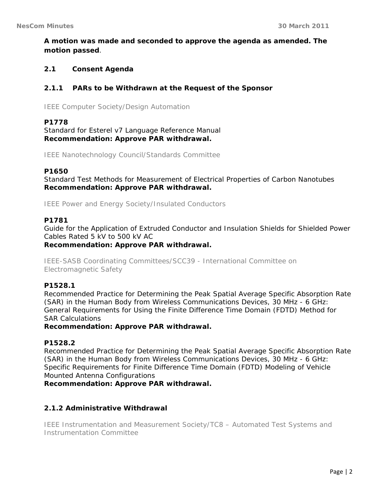**A motion was made and seconded to approve the agenda as amended. The motion passed**.

# **2.1 Consent Agenda**

## **2.1.1 PARs to be Withdrawn at the Request of the Sponsor**

IEEE Computer Society/Design Automation

## **P1778**

Standard for Esterel v7 Language Reference Manual **Recommendation: Approve PAR withdrawal.** 

IEEE Nanotechnology Council/Standards Committee

#### **P1650**

Standard Test Methods for Measurement of Electrical Properties of Carbon Nanotubes **Recommendation: Approve PAR withdrawal.** 

IEEE Power and Energy Society/Insulated Conductors

#### **P1781**

Guide for the Application of Extruded Conductor and Insulation Shields for Shielded Power Cables Rated 5 kV to 500 kV AC **Recommendation: Approve PAR withdrawal.** 

IEEE-SASB Coordinating Committees/SCC39 - International Committee on Electromagnetic Safety

## **P1528.1**

Recommended Practice for Determining the Peak Spatial Average Specific Absorption Rate (SAR) in the Human Body from Wireless Communications Devices, 30 MHz - 6 GHz: General Requirements for Using the Finite Difference Time Domain (FDTD) Method for SAR Calculations

## **Recommendation: Approve PAR withdrawal.**

## **P1528.2**

Recommended Practice for Determining the Peak Spatial Average Specific Absorption Rate (SAR) in the Human Body from Wireless Communications Devices, 30 MHz - 6 GHz: Specific Requirements for Finite Difference Time Domain (FDTD) Modeling of Vehicle Mounted Antenna Configurations

**Recommendation: Approve PAR withdrawal.** 

## **2.1.2 Administrative Withdrawal**

IEEE Instrumentation and Measurement Society/TC8 – Automated Test Systems and Instrumentation Committee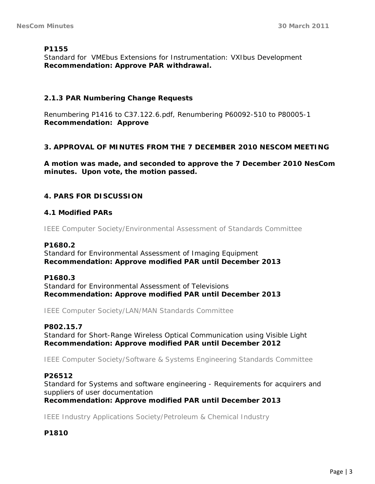## **P1155**

Standard for VMEbus Extensions for Instrumentation: VXIbus Development **Recommendation: Approve PAR withdrawal.** 

## **2.1.3 PAR Numbering Change Requests**

Renumbering P1416 to C37.122.6.pdf, Renumbering P60092-510 to P80005-1 **Recommendation: Approve** 

## **3. APPROVAL OF MINUTES FROM THE 7 DECEMBER 2010 NESCOM MEETING**

**A motion was made, and seconded to approve the 7 December 2010 NesCom minutes. Upon vote, the motion passed.** 

# **4. PARS FOR DISCUSSION**

## **4.1 Modified PARs**

IEEE Computer Society/Environmental Assessment of Standards Committee

## **P1680.2**

Standard for Environmental Assessment of Imaging Equipment **Recommendation: Approve modified PAR until December 2013** 

## **P1680.3**

Standard for Environmental Assessment of Televisions **Recommendation: Approve modified PAR until December 2013** 

IEEE Computer Society/LAN/MAN Standards Committee

## **P802.15.7**

Standard for Short-Range Wireless Optical Communication using Visible Light **Recommendation: Approve modified PAR until December 2012** 

IEEE Computer Society/Software & Systems Engineering Standards Committee

## **P26512**

Standard for Systems and software engineering - Requirements for acquirers and suppliers of user documentation

**Recommendation: Approve modified PAR until December 2013** 

IEEE Industry Applications Society/Petroleum & Chemical Industry

## **P1810**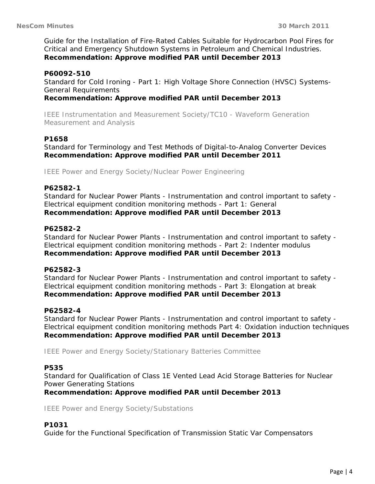Guide for the Installation of Fire-Rated Cables Suitable for Hydrocarbon Pool Fires for Critical and Emergency Shutdown Systems in Petroleum and Chemical Industries. **Recommendation: Approve modified PAR until December 2013** 

#### **P60092-510**

Standard for Cold Ironing - Part 1: High Voltage Shore Connection (HVSC) Systems-General Requirements

## **Recommendation: Approve modified PAR until December 2013**

IEEE Instrumentation and Measurement Society/TC10 - Waveform Generation Measurement and Analysis

## **P1658**

Standard for Terminology and Test Methods of Digital-to-Analog Converter Devices **Recommendation: Approve modified PAR until December 2011** 

IEEE Power and Energy Society/Nuclear Power Engineering

## **P62582-1**

Standard for Nuclear Power Plants - Instrumentation and control important to safety - Electrical equipment condition monitoring methods - Part 1: General **Recommendation: Approve modified PAR until December 2013** 

#### **P62582-2**

Standard for Nuclear Power Plants - Instrumentation and control important to safety - Electrical equipment condition monitoring methods - Part 2: Indenter modulus **Recommendation: Approve modified PAR until December 2013** 

#### **P62582-3**

Standard for Nuclear Power Plants - Instrumentation and control important to safety - Electrical equipment condition monitoring methods - Part 3: Elongation at break **Recommendation: Approve modified PAR until December 2013** 

#### **P62582-4**

Standard for Nuclear Power Plants - Instrumentation and control important to safety - Electrical equipment condition monitoring methods Part 4: Oxidation induction techniques **Recommendation: Approve modified PAR until December 2013** 

IEEE Power and Energy Society/Stationary Batteries Committee

#### **P535**

Standard for Qualification of Class 1E Vented Lead Acid Storage Batteries for Nuclear Power Generating Stations

**Recommendation: Approve modified PAR until December 2013** 

IEEE Power and Energy Society/Substations

## **P1031**

Guide for the Functional Specification of Transmission Static Var Compensators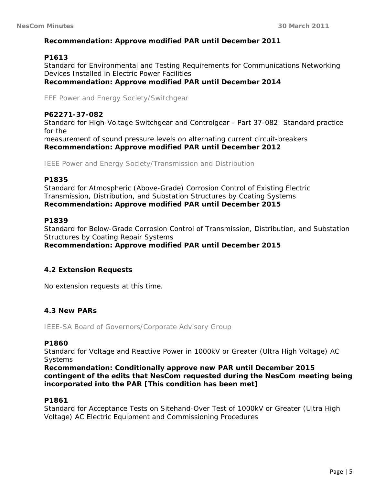## **Recommendation: Approve modified PAR until December 2011**

## **P1613**

Standard for Environmental and Testing Requirements for Communications Networking Devices Installed in Electric Power Facilities **Recommendation: Approve modified PAR until December 2014** 

EEE Power and Energy Society/Switchgear

## **P62271-37-082**

Standard for High-Voltage Switchgear and Controlgear - Part 37-082: Standard practice for the measurement of sound pressure levels on alternating current circuit-breakers **Recommendation: Approve modified PAR until December 2012** 

IEEE Power and Energy Society/Transmission and Distribution

## **P1835**

Standard for Atmospheric (Above-Grade) Corrosion Control of Existing Electric Transmission, Distribution, and Substation Structures by Coating Systems **Recommendation: Approve modified PAR until December 2015** 

#### **P1839**

Standard for Below-Grade Corrosion Control of Transmission, Distribution, and Substation Structures by Coating Repair Systems **Recommendation: Approve modified PAR until December 2015** 

## **4.2 Extension Requests**

No extension requests at this time.

## **4.3 New PARs**

IEEE-SA Board of Governors/Corporate Advisory Group

## **P1860**

Standard for Voltage and Reactive Power in 1000kV or Greater (Ultra High Voltage) AC **Systems** 

**Recommendation: Conditionally approve new PAR until December 2015 contingent of the edits that NesCom requested during the NesCom meeting being incorporated into the PAR [This condition has been met]** 

## **P1861**

Standard for Acceptance Tests on Sitehand-Over Test of 1000kV or Greater (Ultra High Voltage) AC Electric Equipment and Commissioning Procedures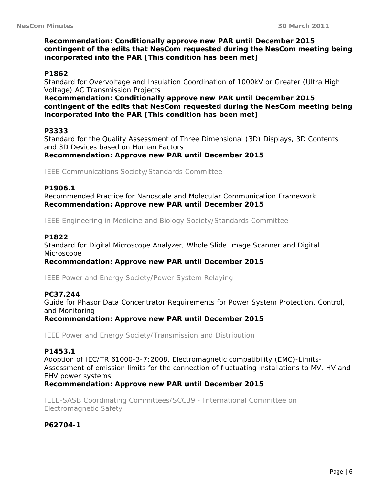## **Recommendation: Conditionally approve new PAR until December 2015 contingent of the edits that NesCom requested during the NesCom meeting being incorporated into the PAR [This condition has been met]**

#### **P1862**

Standard for Overvoltage and Insulation Coordination of 1000kV or Greater (Ultra High Voltage) AC Transmission Projects

**Recommendation: Conditionally approve new PAR until December 2015 contingent of the edits that NesCom requested during the NesCom meeting being incorporated into the PAR [This condition has been met]** 

#### **P3333**

Standard for the Quality Assessment of Three Dimensional (3D) Displays, 3D Contents and 3D Devices based on Human Factors

**Recommendation: Approve new PAR until December 2015** 

IEEE Communications Society/Standards Committee

#### **P1906.1**

Recommended Practice for Nanoscale and Molecular Communication Framework **Recommendation: Approve new PAR until December 2015** 

IEEE Engineering in Medicine and Biology Society/Standards Committee

#### **P1822**

Standard for Digital Microscope Analyzer, Whole Slide Image Scanner and Digital Microscope

**Recommendation: Approve new PAR until December 2015** 

IEEE Power and Energy Society/Power System Relaying

#### **PC37.244**

Guide for Phasor Data Concentrator Requirements for Power System Protection, Control, and Monitoring

**Recommendation: Approve new PAR until December 2015** 

IEEE Power and Energy Society/Transmission and Distribution

#### **P1453.1**

Adoption of IEC/TR 61000-3-7:2008, Electromagnetic compatibility (EMC)-Limits-Assessment of emission limits for the connection of fluctuating installations to MV, HV and EHV power systems **Recommendation: Approve new PAR until December 2015** 

IEEE-SASB Coordinating Committees/SCC39 - International Committee on Electromagnetic Safety

**P62704-1**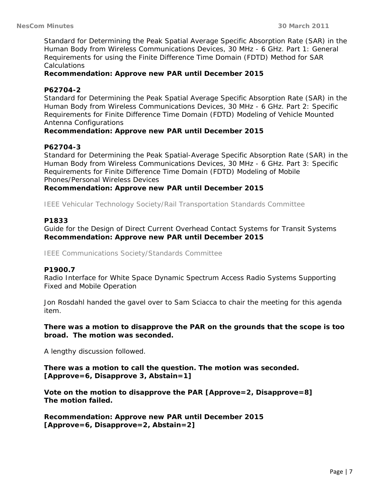Standard for Determining the Peak Spatial Average Specific Absorption Rate (SAR) in the Human Body from Wireless Communications Devices, 30 MHz - 6 GHz. Part 1: General Requirements for using the Finite Difference Time Domain (FDTD) Method for SAR Calculations

## **Recommendation: Approve new PAR until December 2015**

## **P62704-2**

Standard for Determining the Peak Spatial Average Specific Absorption Rate (SAR) in the Human Body from Wireless Communications Devices, 30 MHz - 6 GHz. Part 2: Specific Requirements for Finite Difference Time Domain (FDTD) Modeling of Vehicle Mounted Antenna Configurations

#### **Recommendation: Approve new PAR until December 2015**

#### **P62704-3**

Standard for Determining the Peak Spatial-Average Specific Absorption Rate (SAR) in the Human Body from Wireless Communications Devices, 30 MHz - 6 GHz. Part 3: Specific Requirements for Finite Difference Time Domain (FDTD) Modeling of Mobile Phones/Personal Wireless Devices

#### **Recommendation: Approve new PAR until December 2015**

IEEE Vehicular Technology Society/Rail Transportation Standards Committee

#### **P1833**

Guide for the Design of Direct Current Overhead Contact Systems for Transit Systems **Recommendation: Approve new PAR until December 2015** 

IEEE Communications Society/Standards Committee

#### **P1900.7**

Radio Interface for White Space Dynamic Spectrum Access Radio Systems Supporting Fixed and Mobile Operation

Jon Rosdahl handed the gavel over to Sam Sciacca to chair the meeting for this agenda item.

#### **There was a motion to disapprove the PAR on the grounds that the scope is too broad. The motion was seconded.**

A lengthy discussion followed.

**There was a motion to call the question. The motion was seconded. [Approve=6, Disapprove 3, Abstain=1]** 

**Vote on the motion to disapprove the PAR [Approve=2, Disapprove=8] The motion failed.** 

**Recommendation: Approve new PAR until December 2015 [Approve=6, Disapprove=2, Abstain=2]**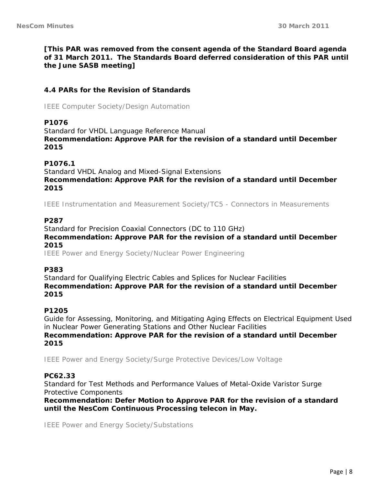**[This PAR was removed from the consent agenda of the Standard Board agenda of 31 March 2011. The Standards Board deferred consideration of this PAR until the June SASB meeting]** 

## **4.4 PARs for the Revision of Standards**

IEEE Computer Society/Design Automation

#### **P1076**

Standard for VHDL Language Reference Manual **Recommendation: Approve PAR for the revision of a standard until December 2015** 

#### **P1076.1**

Standard VHDL Analog and Mixed-Signal Extensions **Recommendation: Approve PAR for the revision of a standard until December 2015** 

IEEE Instrumentation and Measurement Society/TC5 - Connectors in Measurements

#### **P287**

Standard for Precision Coaxial Connectors (DC to 110 GHz)

**Recommendation: Approve PAR for the revision of a standard until December 2015** 

IEEE Power and Energy Society/Nuclear Power Engineering

#### **P383**

Standard for Qualifying Electric Cables and Splices for Nuclear Facilities **Recommendation: Approve PAR for the revision of a standard until December 2015** 

#### **P1205**

Guide for Assessing, Monitoring, and Mitigating Aging Effects on Electrical Equipment Used in Nuclear Power Generating Stations and Other Nuclear Facilities **Recommendation: Approve PAR for the revision of a standard until December 2015** 

IEEE Power and Energy Society/Surge Protective Devices/Low Voltage

## **PC62.33**

Standard for Test Methods and Performance Values of Metal-Oxide Varistor Surge Protective Components

**Recommendation: Defer Motion to Approve PAR for the revision of a standard until the NesCom Continuous Processing telecon in May.** 

IEEE Power and Energy Society/Substations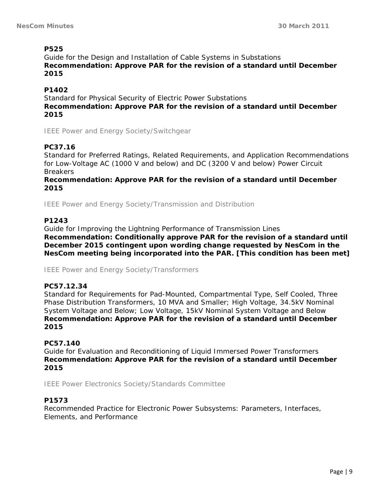# **P525**

Guide for the Design and Installation of Cable Systems in Substations **Recommendation: Approve PAR for the revision of a standard until December 2015** 

# **P1402**

Standard for Physical Security of Electric Power Substations **Recommendation: Approve PAR for the revision of a standard until December 2015** 

IEEE Power and Energy Society/Switchgear

# **PC37.16**

Standard for Preferred Ratings, Related Requirements, and Application Recommendations for Low-Voltage AC (1000 V and below) and DC (3200 V and below) Power Circuit **Breakers** 

**Recommendation: Approve PAR for the revision of a standard until December 2015** 

IEEE Power and Energy Society/Transmission and Distribution

# **P1243**

Guide for Improving the Lightning Performance of Transmission Lines **Recommendation: Conditionally approve PAR for the revision of a standard until December 2015 contingent upon wording change requested by NesCom in the NesCom meeting being incorporated into the PAR. [This condition has been met]** 

IEEE Power and Energy Society/Transformers

# **PC57.12.34**

Standard for Requirements for Pad-Mounted, Compartmental Type, Self Cooled, Three Phase Distribution Transformers, 10 MVA and Smaller; High Voltage, 34.5kV Nominal System Voltage and Below; Low Voltage, 15kV Nominal System Voltage and Below **Recommendation: Approve PAR for the revision of a standard until December 2015** 

## **PC57.140**

Guide for Evaluation and Reconditioning of Liquid Immersed Power Transformers **Recommendation: Approve PAR for the revision of a standard until December 2015** 

IEEE Power Electronics Society/Standards Committee

# **P1573**

Recommended Practice for Electronic Power Subsystems: Parameters, Interfaces, Elements, and Performance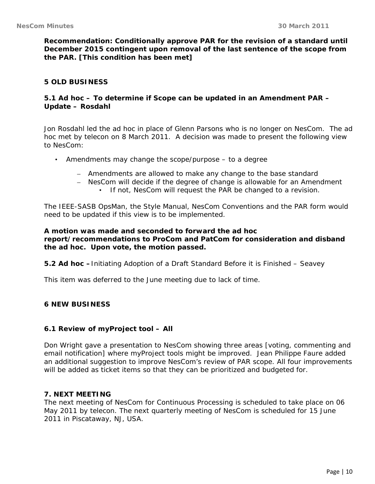**Recommendation: Conditionally approve PAR for the revision of a standard until December 2015 contingent upon removal of the last sentence of the scope from the PAR. [This condition has been met]** 

## **5 OLD BUSINESS**

## **5.1 Ad hoc – To determine if Scope can be updated in an Amendment PAR – Update – Rosdahl**

Jon Rosdahl led the ad hoc in place of Glenn Parsons who is no longer on NesCom. The ad hoc met by telecon on 8 March 2011. A decision was made to present the following view to NesCom:

- Amendments may change the scope/purpose to a degree
	- Amendments are allowed to make any change to the base standard
	- NesCom will decide if the degree of change is allowable for an Amendment
		- If not, NesCom will request the PAR be changed to a revision.

The IEEE-SASB OpsMan, the Style Manual, NesCom Conventions and the PAR form would need to be updated if this view is to be implemented.

**A motion was made and seconded to forward the ad hoc report/recommendations to ProCom and PatCom for consideration and disband the ad hoc. Upon vote, the motion passed.** 

**5.2 Ad hoc –**Initiating Adoption of a Draft Standard Before it is Finished – Seavey

This item was deferred to the June meeting due to lack of time.

## **6 NEW BUSINESS**

## **6.1 Review of myProject tool – All**

Don Wright gave a presentation to NesCom showing three areas [voting, commenting and email notification] where myProject tools might be improved. Jean Philippe Faure added an additional suggestion to improve NesCom's review of PAR scope. All four improvements will be added as ticket items so that they can be prioritized and budgeted for.

## **7. NEXT MEETING**

The next meeting of NesCom for Continuous Processing is scheduled to take place on 06 May 2011 by telecon. The next quarterly meeting of NesCom is scheduled for 15 June 2011 in Piscataway, NJ, USA.